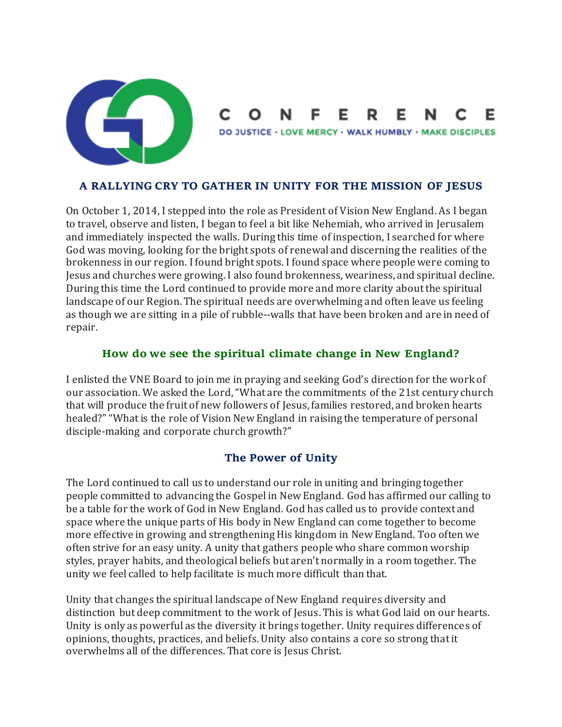

#### E. R. Е Е N

DO JUSTICE - LOVE MERCY - WALK HUMBLY - MAKE DISCIPLES

#### **A RALLYING CRY TO GATHER IN UNITY FOR THE MISSION OF JESUS**

On October 1, 2014, I stepped into the role as President of Vision New England. As I began to travel, observe and listen, I began to feel a bit like Nehemiah, who arrived in Jerusalem and immediately inspected the walls. During this time of inspection, I searched for where God was moving, looking for the bright spots of renewal and discerning the realities of the brokenness in our region. I found bright spots. I found space where people were coming to Jesus and churches were growing. I also found brokenness, weariness, and spiritual decline. During this time the Lord continued to provide more and more clarity about the spiritual landscape of our Region. The spiritual needs are overwhelming and often leave us feeling as though we are sitting in a pile of rubble--walls that have been broken and are in need of repair.

#### **How do we see the spiritual climate change in New England?**

I enlisted the VNE Board to join me in praying and seeking God's direction for the work of our association. We asked the Lord, "What are the commitments of the 21st century church that will produce the fruit of new followers of Jesus, families restored, and broken hearts healed?" "What is the role of Vision New England in raising the temperature of personal disciple-making and corporate church growth?"

# **The Power of Unity**

The Lord continued to call us to understand our role in uniting and bringing together people committed to advancing the Gospel in New England. God has affirmed our calling to be a table for the work of God in New England. God has called us to provide context and space where the unique parts of His body in New England can come together to become more effective in growing and strengthening His kingdom in New England. Too often we often strive for an easy unity. A unity that gathers people who share common worship styles, prayer habits, and theological beliefs but aren't normally in a room together. The unity we feel called to help facilitate is much more difficult than that.

Unity that changes the spiritual landscape of New England requires diversity and distinction but deep commitment to the work of Jesus. This is what God laid on our hearts. Unity is only as powerful as the diversity it brings together. Unity requires differences of opinions, thoughts, practices, and beliefs. Unity also contains a core so strong that it overwhelms all of the differences. That core is Jesus Christ.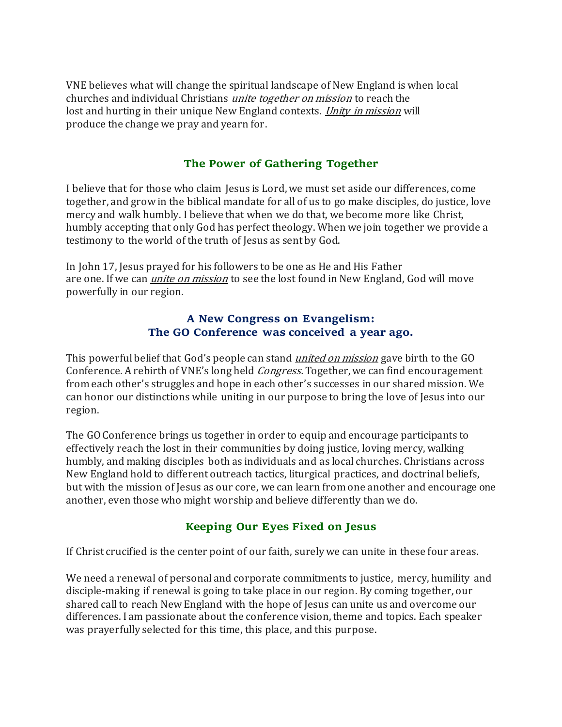VNE believes what will change the spiritual landscape of New England is when local churches and individual Christians unite together on mission to reach the lost and hurting in their unique New England contexts. *Unity in mission* will produce the change we pray and yearn for.

# **The Power of Gathering Together**

I believe that for those who claim Jesus is Lord, we must set aside our differences, come together, and grow in the biblical mandate for all of us to go make disciples, do justice, love mercy and walk humbly. I believe that when we do that, we become more like Christ, humbly accepting that only God has perfect theology. When we join together we provide a testimony to the world of the truth of Jesus as sent by God.

In John 17, Jesus prayed for his followers to be one as He and His Father are one. If we can *unite on mission* to see the lost found in New England, God will move powerfully in our region.

# **A New Congress on Evangelism: The GO Conference was conceived a year ago.**

This powerful belief that God's people can stand *united on mission* gave birth to the GO Conference. A rebirth of VNE's long held Congress. Together, we can find encouragement from each other's struggles and hope in each other's successes in our shared mission. We can honor our distinctions while uniting in our purpose to bring the love of Jesus into our region.

The GO Conference brings us together in order to equip and encourage participants to effectively reach the lost in their communities by doing justice, loving mercy, walking humbly, and making disciples both as individuals and as local churches. Christians across New England hold to different outreach tactics, liturgical practices, and doctrinal beliefs, but with the mission of Jesus as our core, we can learn from one another and encourage one another, even those who might worship and believe differently than we do.

# **Keeping Our Eyes Fixed on Jesus**

If Christ crucified is the center point of our faith, surely we can unite in these four areas.

We need a renewal of personal and corporate commitments to justice, mercy, humility and disciple-making if renewal is going to take place in our region. By coming together, our shared call to reach New England with the hope of Jesus can unite us and overcome our differences. I am passionate about the conference vision, theme and topics. Each speaker was prayerfully selected for this time, this place, and this purpose.